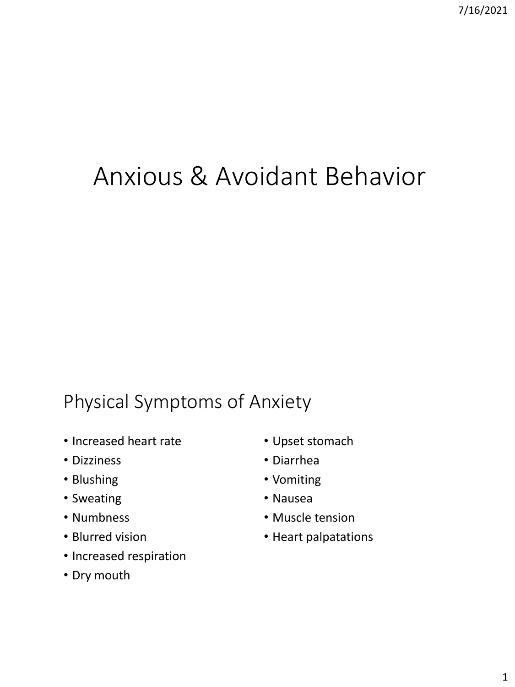# Anxious & Avoidant Behavior

# Physical Symptoms of Anxiety

- Increased heart rate
- Dizziness
- Blushing
- Sweating
- Numbness
- Blurred vision
- Increased respiration
- Dry mouth
- Upset stomach
- Diarrhea
- Vomiting
- Nausea
- Muscle tension
- Heart palpatations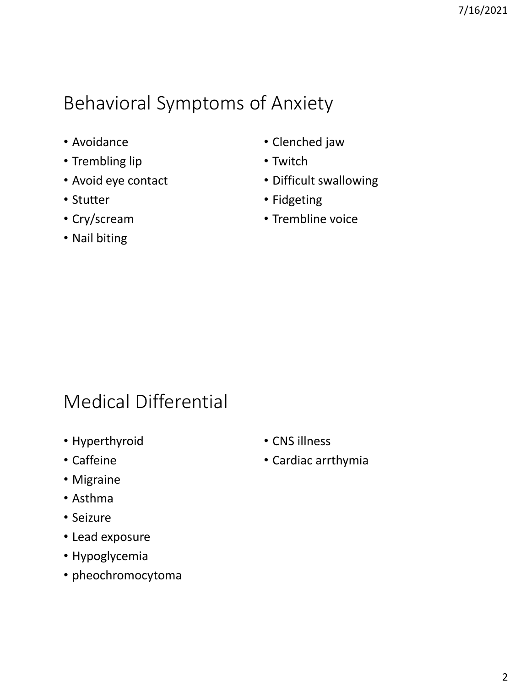# Behavioral Symptoms of Anxiety

- Avoidance
- Trembling lip
- Avoid eye contact
- Stutter
- Cry/scream
- Nail biting
- Clenched jaw
- Twitch
- Difficult swallowing
- Fidgeting
- Trembline voice

# Medical Differential

- Hyperthyroid
- Caffeine
- Migraine
- Asthma
- Seizure
- Lead exposure
- Hypoglycemia
- pheochromocytoma
- CNS illness
- Cardiac arrthymia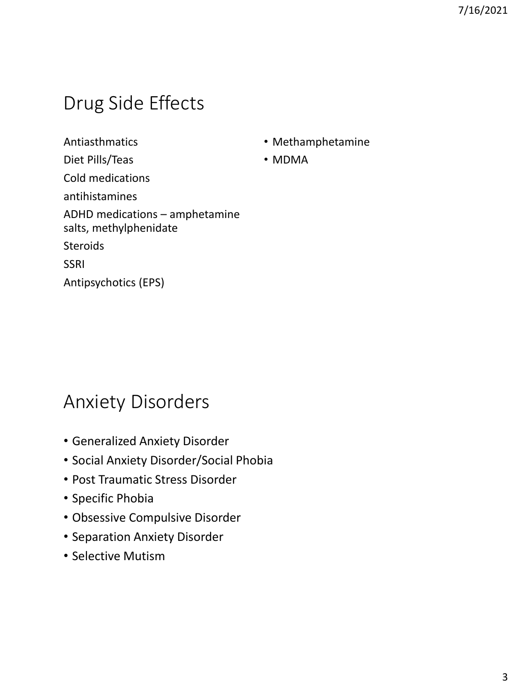# Drug Side Effects

Antiasthmatics Diet Pills/Teas Cold medications antihistamines ADHD medications – amphetamine salts, methylphenidate **Steroids** SSRI Antipsychotics (EPS)

- Methamphetamine
- MDMA

#### Anxiety Disorders

- Generalized Anxiety Disorder
- Social Anxiety Disorder/Social Phobia
- Post Traumatic Stress Disorder
- Specific Phobia
- Obsessive Compulsive Disorder
- Separation Anxiety Disorder
- Selective Mutism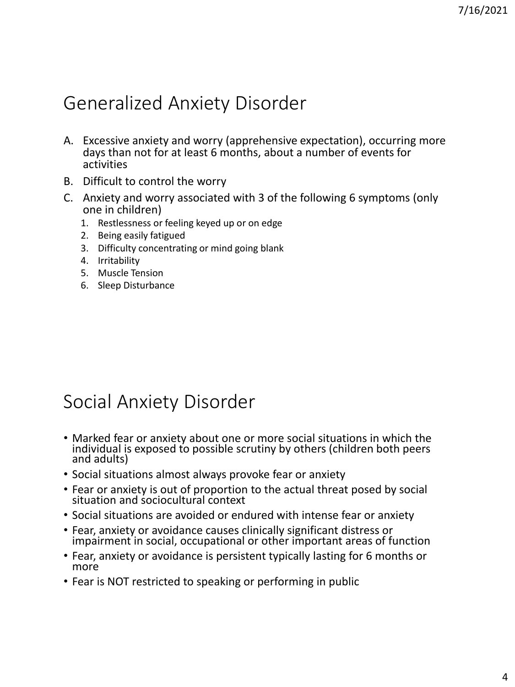# Generalized Anxiety Disorder

- A. Excessive anxiety and worry (apprehensive expectation), occurring more days than not for at least 6 months, about a number of events for activities
- B. Difficult to control the worry
- C. Anxiety and worry associated with 3 of the following 6 symptoms (only one in children)
	- 1. Restlessness or feeling keyed up or on edge
	- 2. Being easily fatigued
	- 3. Difficulty concentrating or mind going blank
	- 4. Irritability
	- 5. Muscle Tension
	- 6. Sleep Disturbance

### Social Anxiety Disorder

- Marked fear or anxiety about one or more social situations in which the individual is exposed to possible scrutiny by others (children both peers and adults)
- Social situations almost always provoke fear or anxiety
- Fear or anxiety is out of proportion to the actual threat posed by social situation and sociocultural context
- Social situations are avoided or endured with intense fear or anxiety
- Fear, anxiety or avoidance causes clinically significant distress or impairment in social, occupational or other important areas of function
- Fear, anxiety or avoidance is persistent typically lasting for 6 months or more
- Fear is NOT restricted to speaking or performing in public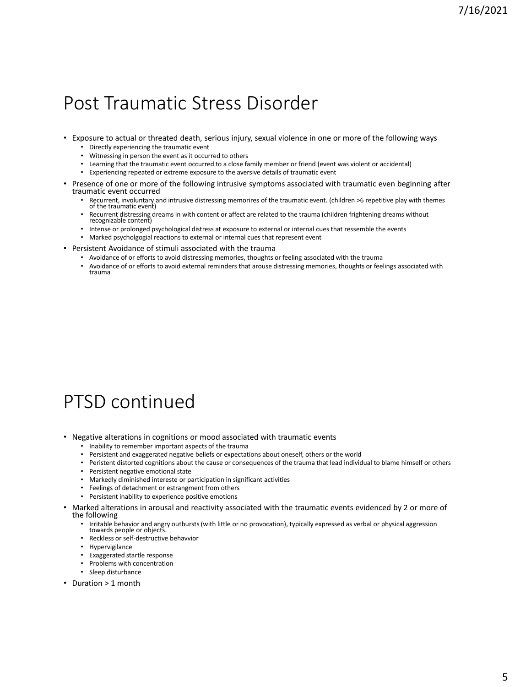#### Post Traumatic Stress Disorder

- Exposure to actual or threated death, serious injury, sexual violence in one or more of the following ways
	- Directly experiencing the traumatic event
	- Witnessing in person the event as it occurred to others
	- Learning that the traumatic event occurred to a close family member or friend (event was violent or accidental)
	- Experiencing repeated or extreme exposure to the aversive details of traumatic event
- Presence of one or more of the following intrusive symptoms associated with traumatic even beginning after traumatic event occurred
	- Recurrent, involuntary and intrusive distressing memorires of the traumatic event. (children >6 repetitive play with themes of the traumatic event)
	- Recurrent distressing dreams in with content or affect are related to the trauma (children frightening dreams without recognizable content)
	- Intense or prolonged psychological distress at exposure to external or internal cues that ressemble the events
	- Marked psycholgogial reactions to external or internal cues that represent event
- Persistent Avoidance of stimuli associated with the trauma
	- Avoidance of or efforts to avoid distressing memories, thoughts or feeling associated with the trauma
	- Avoidance of or efforts to avoid external reminders that arouse distressing memories, thoughts or feelings associated with trauma

# PTSD continued

- Negative alterations in cognitions or mood associated with traumatic events
	- Inability to remember important aspects of the trauma
	- Persistent and exaggerated negative beliefs or expectations about oneself, others or the world
	- Peristent distorted cognitions about the cause or consequences of the trauma that lead individual to blame himself or others
	- Persistent negative emotional state
	- Markedly diminished intereste or participation in significant activities
	- Feelings of detachment or estrangment from others
	- Persistent inability to experience positive emotions
- Marked alterations in arousal and reactivity associated with the traumatic events evidenced by 2 or more of the following
	- Irritable behavior and angry outbursts (with little or no provocation), typically expressed as verbal or physical aggression towards people or objects.
	- Reckless or self-destructive behavvior
	- Hypervigilance
	- Exaggerated startle response
	- Problems with concentration
	- Sleep disturbance
- Duration > 1 month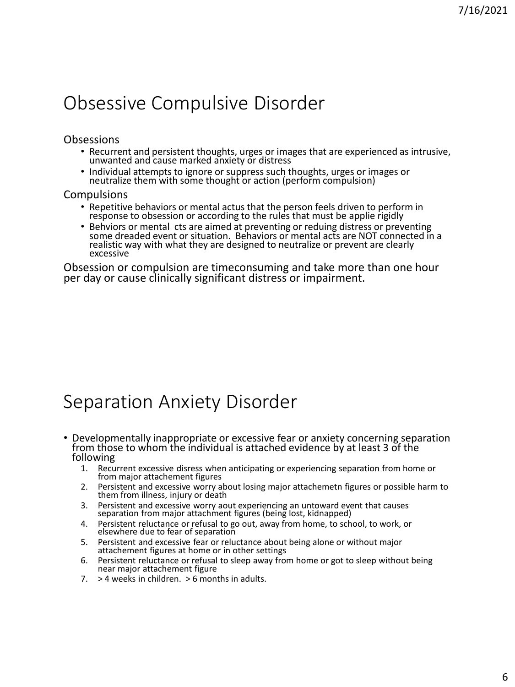### Obsessive Compulsive Disorder

#### **Obsessions**

- Recurrent and persistent thoughts, urges or images that are experienced as intrusive, unwanted and cause marked anxiety or distress
- Individual attempts to ignore or suppress such thoughts, urges or images or neutralize them with some thought or action (perform compulsion)

#### Compulsions

- Repetitive behaviors or mental actus that the person feels driven to perform in response to obsession or according to the rules that must be applie rigidly
- Behviors or mental cts are aimed at preventing or reduing distress or preventing some dreaded event or situation. Behaviors or mental acts are NOT connected in a realistic way with what they are designed to neutralize or prevent are clearly excessive

Obsession or compulsion are timeconsuming and take more than one hour per day or cause clinically significant distress or impairment.

### Separation Anxiety Disorder

- Developmentally inappropriate or excessive fear or anxiety concerning separation from those to whom the individual is attached evidence by at least 3 of the following
	- 1. Recurrent excessive disress when anticipating or experiencing separation from home or from major attachement figures
	- 2. Persistent and excessive worry about losing major attachemetn figures or possible harm to them from illness, injury or death
	- 3. Persistent and excessive worry aout experiencing an untoward event that causes separation from major attachment figures (being lost, kidnapped)
	- 4. Persistent reluctance or refusal to go out, away from home, to school, to work, or elsewhere due to fear of separation
	- 5. Persistent and excessive fear or reluctance about being alone or without major attachement figures at home or in other settings
	- 6. Persistent reluctance or refusal to sleep away from home or got to sleep without being near major attachement figure
	- $7.$  > 4 weeks in children. > 6 months in adults.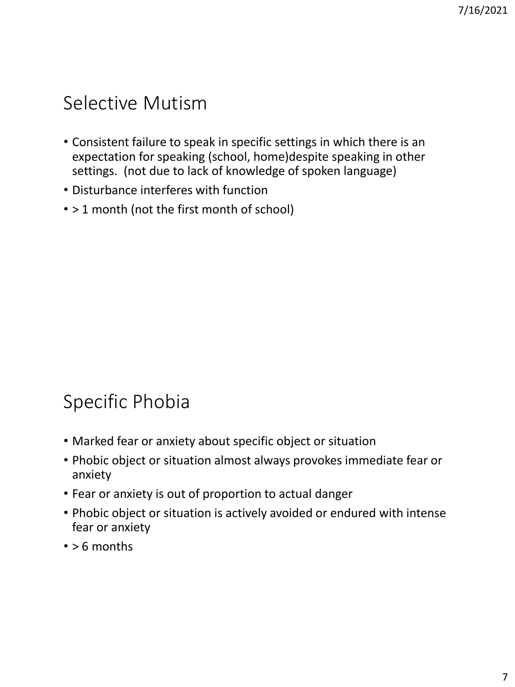# Selective Mutism

- Consistent failure to speak in specific settings in which there is an expectation for speaking (school, home)despite speaking in other settings. (not due to lack of knowledge of spoken language)
- Disturbance interferes with function
- > 1 month (not the first month of school)

# Specific Phobia

- Marked fear or anxiety about specific object or situation
- Phobic object or situation almost always provokes immediate fear or anxiety
- Fear or anxiety is out of proportion to actual danger
- Phobic object or situation is actively avoided or endured with intense fear or anxiety
- > 6 months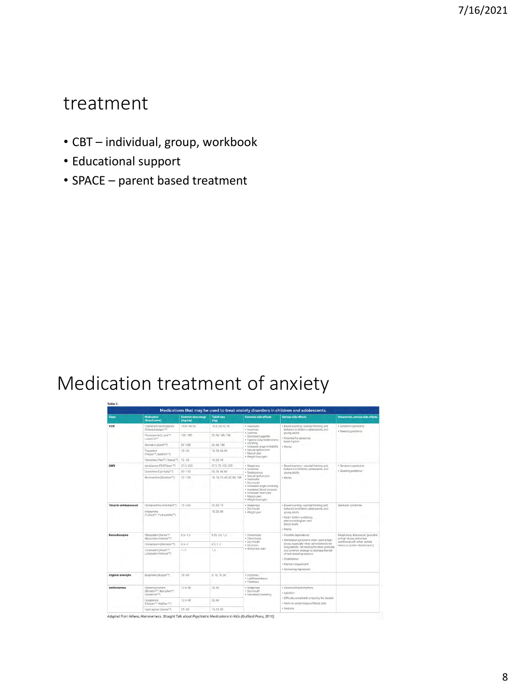#### treatment

- CBT individual, group, workbook
- Educational support
- SPACE parent based treatment

# Medication treatment of anxiety

| Medications that may be used to treat anxiety disorders in children and adolescents. |                                                                                                   |                               |                            |                                                                                                                                                                                                                                   |                                                                                                                                                                                                                                                                                                         |                                                                                                                             |
|--------------------------------------------------------------------------------------|---------------------------------------------------------------------------------------------------|-------------------------------|----------------------------|-----------------------------------------------------------------------------------------------------------------------------------------------------------------------------------------------------------------------------------|---------------------------------------------------------------------------------------------------------------------------------------------------------------------------------------------------------------------------------------------------------------------------------------------------------|-----------------------------------------------------------------------------------------------------------------------------|
| <b>Class</b>                                                                         | Medication<br>(Brand name)                                                                        | Common dose range<br>(mg/day) | <b>Tablet size</b><br>(mq) | <b>Common side effects</b>                                                                                                                                                                                                        | <b>Serious side effects</b>                                                                                                                                                                                                                                                                             | Uncommon, serious side effects                                                                                              |
| <b>SSRI</b>                                                                          | Citalopram/escitalopram<br>(Celexa/Lexapro <sup>ns)</sup>                                         | 10/5-40/20                    | 10/5.20/10.40              | · Headache<br>· Insomnia<br>· Diambers<br>· Decreased appetite<br>· Hyperactivity/restlessness<br>· Vamiting<br>· Increased anger/initability<br>· Sexual dysfunction<br>· Muscle pain<br>· Weight loss/gain                      | . Boxed warning-suicidal thinking and<br>behavior in children, adolescents, and<br>young adults<br>· Potential for abnormal<br>heart riwthm<br>· Maria                                                                                                                                                  | · Serotonin syndrome<br>+ Bleeding problems                                                                                 |
|                                                                                      | Fluvoxamine (Luvox <sup>ni)</sup><br>Luvox CR <sup>(M)</sup>                                      | $100 - 300$                   | 25.50.100.150              |                                                                                                                                                                                                                                   |                                                                                                                                                                                                                                                                                                         |                                                                                                                             |
|                                                                                      | Sertraline (Zoloft <sup>TM</sup> )                                                                | $25 - 200$                    | 25.50.100                  |                                                                                                                                                                                                                                   |                                                                                                                                                                                                                                                                                                         |                                                                                                                             |
|                                                                                      | Fluoxetine<br>(Prozac <sup>tu</sup> , Sarafem <sup>tu</sup> )                                     | $10 - 60$                     | 10.20.40.60                |                                                                                                                                                                                                                                   |                                                                                                                                                                                                                                                                                                         |                                                                                                                             |
|                                                                                      | Parceetine (Pauli <sup>nu</sup> , Pexeva <sup>nu</sup> )                                          | $10 - 50$                     | 10.20.40                   |                                                                                                                                                                                                                                   |                                                                                                                                                                                                                                                                                                         |                                                                                                                             |
| <b>SNRI</b>                                                                          | Venlafaxine ER (Effexor <sup>14</sup> )                                                           | $375 - 225$                   | 37.5.75, 150, 225          | + Singningss<br>· Insomnia<br>· Restlessness<br>· Sexual dysfunction<br>· Headache<br>· Dry-mouth<br>· Increased anger/initability<br>· Increased blood pressure<br>+ Increased heart rate<br>+ Muscle pain<br>+ Weight loss/gain | · Boxed warning-suicidal thinking and<br>behinvior in children; adolescents, and<br>young adults<br>· Mania                                                                                                                                                                                             | + Serotonin syndrome<br>· Bleeding problems                                                                                 |
|                                                                                      | Duloxetine (Cyrribalta <sup>ne</sup> )                                                            | $30 - 120$                    | 20, 30, 40, 60             |                                                                                                                                                                                                                                   |                                                                                                                                                                                                                                                                                                         |                                                                                                                             |
|                                                                                      | Atomonitine (Strattera <sup>nd</sup> )                                                            | $10 - 100$                    | 10.18.25.40.60.80.100      |                                                                                                                                                                                                                                   |                                                                                                                                                                                                                                                                                                         |                                                                                                                             |
| <b>Tricyclic antidepressant</b>                                                      | Clomipsimine (Anafranii <sup>ne</sup> )                                                           | $75 - 250$                    | 25.50.75                   | · Sleepiness<br>· Dry mouth<br>· Weight gain                                                                                                                                                                                      | · Boxed warning-suicidal thinking and<br>behavior in children, adolescents, and<br>young adults.<br>- Heart rhythm problems;<br>electrocardiogram and<br>blood levels<br>· Mania                                                                                                                        | Serotonin syndrome                                                                                                          |
|                                                                                      | Imipramine<br>(Trofanil <sup>''M</sup> , Trofranil-PM <sup>16</sup> )                             |                               | TD 25.50                   |                                                                                                                                                                                                                                   |                                                                                                                                                                                                                                                                                                         |                                                                                                                             |
| Benzodiazepine                                                                       | Alprazolam (Xanax <sup>na</sup> )<br>Alpräzolam Intensol <sup>mo</sup>                            | $0.5 - 1.5$                   | 0.25 0.5 1.2               | · Drowsiness<br>· Clumsiness<br>· Dry mouth<br>· Dizziness<br>+ Abdominal pain                                                                                                                                                    | · Possible dependence<br>· Withdrawal symptoms when used at high<br>doses, especially when administered over<br>long periods. Decreasing the dose gradually<br>is a common strategy to decrease the risk<br>of withdrawal symptoms.<br>· Disinhibition<br>. Memory impairment<br>· Worsening depression | Respiratory depression (possible)<br>at high doses and when.<br>combined with other central.<br>nervous system depressants) |
|                                                                                      | Clonszeparn (Klonopin <sup>160</sup> )                                                            | $0.6 - 3$                     | 0.51, 2                    |                                                                                                                                                                                                                                   |                                                                                                                                                                                                                                                                                                         |                                                                                                                             |
|                                                                                      | Lorazepam (Alivan <sup>ra</sup> )<br>Lorazepam Intensol <sup>ney</sup>                            | $1 - 2$                       | T, 2                       |                                                                                                                                                                                                                                   |                                                                                                                                                                                                                                                                                                         |                                                                                                                             |
| <b>Atypical anxiolytic</b>                                                           | Buspirone (Buspar <sup>TM</sup> )                                                                 | $15 - 60$                     | 5, 10, 15, 30              | · Dizziness<br>· Lightheadedness<br>· Tiredness                                                                                                                                                                                   |                                                                                                                                                                                                                                                                                                         |                                                                                                                             |
| <b>Antihistamine</b>                                                                 | Diphenhydramine<br>(Benadivi <sup>na</sup> , Bancohen <sup>na</sup> )<br>Diphenhist <sup>TM</sup> | $12.5 - 50$                   | 25.50                      | + Sleepiness<br>· Dry mouth<br>· Decreased sweating                                                                                                                                                                               | · Abnormal heart rhythms<br>· Agitation<br>· Difficulty completely emptying the bladder<br>· Harm to pertain types of blood gells<br>· Secrites                                                                                                                                                         |                                                                                                                             |
|                                                                                      | <b>DoxVlamine</b><br>(Unisom <sup>16</sup> , WalSom <sup>16</sup> )                               | $12.5 - 50$                   | 25.50                      |                                                                                                                                                                                                                                   |                                                                                                                                                                                                                                                                                                         |                                                                                                                             |
|                                                                                      | Hydroxyzine (Atarax <sup>74)</sup>                                                                | $25 - 50$                     | 10.25.50                   |                                                                                                                                                                                                                                   |                                                                                                                                                                                                                                                                                                         |                                                                                                                             |

Adapted from Wilens, Hammerness. Straight Talk about Psychiatric Medications in Kids (Guilford Press, 2016).